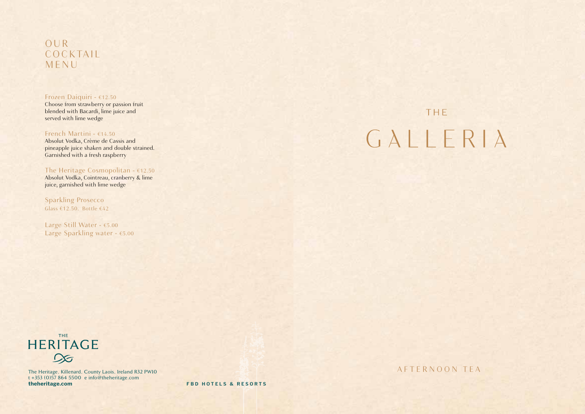# OUR **COCKTAIL** MENU

#### Frozen Daiquiri - €12.50

Choose from strawberry or passion fruit blended with Bacardi, lime juice and served with lime wedge

#### French Martini - €14.50

Absolut Vodka, Crème de Cassis and pineapple juice shaken and double strained. Garnished with a fresh raspberry

# The Heritage Cosmopolitan - €12.50

Absolut Vodka, Cointreau, cranberry & lime juice, garnished with lime wedge

Sparkling Prosecco Glass €12.50. Bottle €42

Large Still Water - €5.00 Large Sparkling water - €5.00

# THE GALLERIA



The Heritage, Killenard, County Laois, Ireland R32 PW10 t +353 (0)57 864 5500 e info@theheritage.com **theheritage.com FBD HOTELS & RESORTS**

AFTERNOON TEA